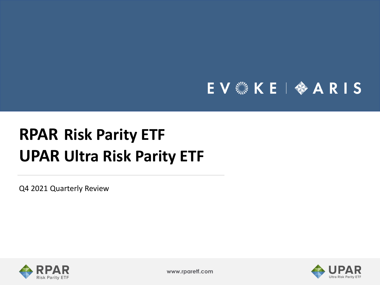# EV & KE | � ARIS

# **RPAR Risk Parity ETF UPAR Ultra Risk Parity ETF**

Q4 2021 Quarterly Review





**www.rparetf.com**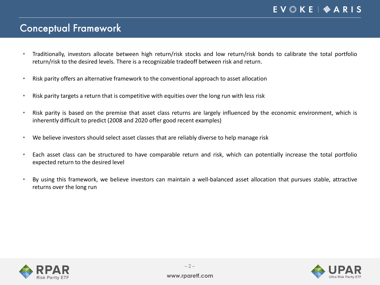### Conceptual Framework

- Traditionally, investors allocate between high return/risk stocks and low return/risk bonds to calibrate the total portfolio return/risk to the desired levels. There is a recognizable tradeoff between risk and return.
- Risk parity offers an alternative framework to the conventional approach to asset allocation
- Risk parity targets a return that is competitive with equities over the long run with less risk
- Risk parity is based on the premise that asset class returns are largely influenced by the economic environment, which is inherently difficult to predict (2008 and 2020 offer good recent examples)
- We believe investors should select asset classes that are reliably diverse to help manage risk
- Each asset class can be structured to have comparable return and risk, which can potentially increase the total portfolio expected return to the desired level
- By using this framework, we believe investors can maintain a well-balanced asset allocation that pursues stable, attractive returns over the long run



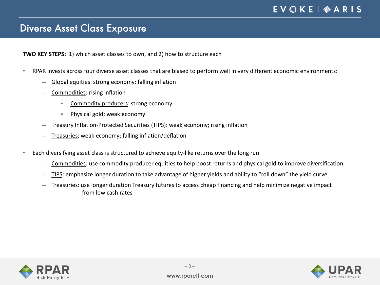### Diverse Asset Class Exposure

**TWO KEY STEPS:** 1) which asset classes to own, and 2) how to structure each

- RPAR invests across four diverse asset classes that are biased to perform well in very different economic environments:
	- ― Global equities: strong economy; falling inflation
	- ― Commodities: rising inflation
		- Commodity producers: strong economy
		- Physical gold: weak economy
	- Treasury Inflation-Protected Securities (TIPS): weak economy; rising inflation
	- ― Treasuries: weak economy; falling inflation/deflation
- Each diversifying asset class is structured to achieve equity-like returns over the long run
	- Commodities: use commodity producer equities to help boost returns and physical gold to improve diversification
	- ― TIPS: emphasize longer duration to take advantage of higher yields and ability to "roll down" the yield curve
	- ― Treasuries: use longer duration Treasury futures to access cheap financing and help minimize negative impact from low cash rates



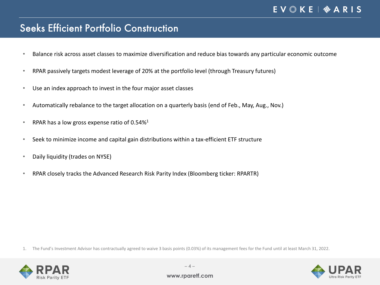### Seeks Efficient Portfolio Construction

- Balance risk across asset classes to maximize diversification and reduce bias towards any particular economic outcome
- RPAR passively targets modest leverage of 20% at the portfolio level (through Treasury futures)
- Use an index approach to invest in the four major asset classes
- Automatically rebalance to the target allocation on a quarterly basis (end of Feb., May, Aug., Nov.)
- RPAR has a low gross expense ratio of  $0.54\%$ <sup>1</sup>
- Seek to minimize income and capital gain distributions within a tax-efficient ETF structure
- Daily liquidity (trades on NYSE)
- RPAR closely tracks the Advanced Research Risk Parity Index (Bloomberg ticker: RPARTR)

1. The Fund's Investment Advisor has contractually agreed to waive 3 basis points (0.03%) of its management fees for the Fund until at least March 31, 2022.



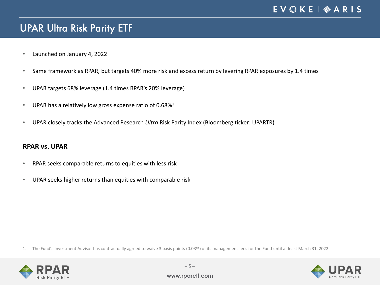# UPAR Ultra Risk Parity ETF

- Launched on January 4, 2022
- Same framework as RPAR, but targets 40% more risk and excess return by levering RPAR exposures by 1.4 times
- UPAR targets 68% leverage (1.4 times RPAR's 20% leverage)
- UPAR has a relatively low gross expense ratio of  $0.68\%$ <sup>1</sup>
- UPAR closely tracks the Advanced Research *Ultra* Risk Parity Index (Bloomberg ticker: UPARTR)

#### **RPAR vs. UPAR**

- RPAR seeks comparable returns to equities with less risk
- UPAR seeks higher returns than equities with comparable risk

1. The Fund's Investment Advisor has contractually agreed to waive 3 basis points (0.03%) of its management fees for the Fund until at least March 31, 2022.



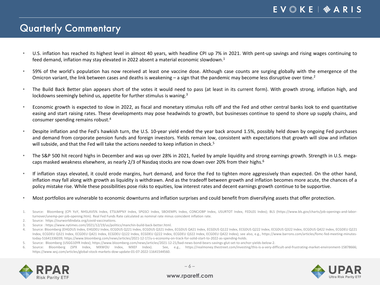## Quarterly Commentary

- U.S. inflation has reached its highest level in almost 40 years, with headline CPI up 7% in 2021. With pent-up savings and rising wages continuing to feed demand, inflation may stay elevated in 2022 absent a material economic slowdown. 1
- 59% of the world's population has now received at least one vaccine dose. Although case counts are surging globally with the emergence of the Omicron variant, the link between cases and deaths is weakening – a sign that the pandemic may become less disruptive over time.<sup>2</sup>
- The Build Back Better plan appears short of the votes it would need to pass (at least in its current form). With growth strong, inflation high, and lockdowns seemingly behind us, appetite for further stimulus is waning.<sup>3</sup>
- Economic growth is expected to slow in 2022, as fiscal and monetary stimulus rolls off and the Fed and other central banks look to end quantitative easing and start raising rates. These developments may pose headwinds to growth, but businesses continue to spend to shore up supply chains, and consumer spending remains robust. 4
- Despite inflation and the Fed's hawkish turn, the U.S. 10-year yield ended the year back around 1.5%, possibly held down by ongoing Fed purchases and demand from corporate pension funds and foreign investors. Yields remain low, consistent with expectations that growth will slow and inflation will subside, and that the Fed will take the actions needed to keep inflation in check.<sup>5</sup>
- The S&P 500 hit record highs in December and was up over 28% in 2021, fueled by ample liquidity and strong earnings growth. Strength in U.S. megacaps masked weakness elsewhere, as nearly 2/3 of Nasdaq stocks are now down over 20% from their highs.<sup>6</sup>
- If inflation stays elevated, it could erode margins, hurt demand, and force the Fed to tighten more aggressively than expected. On the other hand, inflation may fall along with growth as liquidity is withdrawn. And as the tradeoff between growth and inflation becomes more acute, the chances of a policy mistake rise. While these possibilities pose risks to equities, low interest rates and decent earnings growth continue to be supportive.
- Most portfolios are vulnerable to economic downturns and inflation surprises and could benefit from diversifying assets that offer protection.
- 1. Source: Bloomberg (CPI YoY, NHSLAVS% Index, ETSLMP%Y Index, SPGSCI Index, SBOIEMPL Index, CONCJOBP Index, USURTOT Index, FEDL01 Index); BLS (https://www.bls.gov/charts/job-openings-and-laborturnover/unemp-per-job-opening.htm). Real Fed Funds Rate calculated as nominal rate minus coincident inflation rate.
- 2. Source: https://ourworldindata.org/covid-vaccinations.
- 3. Source : https://www.nytimes.com/2021/12/19/us/politics/manchin-build-back-better.html.
- 4. Source: Bloomberg (EHGDUS Index, EHGDEU Index, ECGDUS Q221 Index, ECGDUS Q321 Index, ECGDUS Q421 Index, ECGDUS Q122 Index, ECGDUS Q222 Index, ECGDUS Q322 Index, ECGDUS Q422 Index, ECGDUS Q522 Index, ECGDUS Q322 Index, E Index, ECGDEU Q321 Index, ECGDEU Q421 Index, ECGDEU Q122 Index, ECGDEU Q222 Index, ECGDEU Q322 Index, ECGDEU Q422 Index); see also, e.g., https://www.barrons.com/articles/fomc-fed-meeting-minutestoday-51641336039; https://www.bloomberg.com/news/articles/2021-12-17/u-s-economy-on-track-for-solid-start-to-2022-as-spending-holds.
- 5. Source: Bloomberg (USGG10YR Index); https://www.bloomberg.com/news/articles/2021-12-21/bad-news-bond-bears-savings-glut-set-to-anchor-yields-below-2.
- 6. Source: Bloomberg (SPX Index, MXWOU Index, MXEF Index). See, e.g., https://realmoney.thestreet.com/investing/this-is-a-very-difficult-and-frustrating-market-environment-15878666; https://www.wsj.com/articles/global-stock-markets-dow-update-01-07-2022-11641544560.



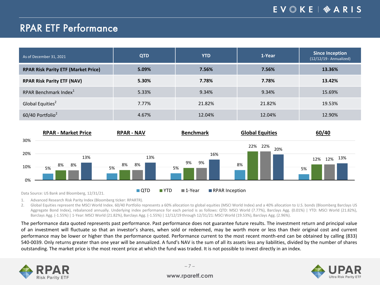# RPAR ETF Performance

| As of December 31, 2021                    | <b>QTD</b> | <b>YTD</b> | 1-Year | <b>Since Inception</b><br>$(12/12/19 - Annualized)$ |
|--------------------------------------------|------------|------------|--------|-----------------------------------------------------|
| <b>RPAR Risk Parity ETF (Market Price)</b> | 5.09%      | 7.56%      | 7.56%  | 13.36%                                              |
| <b>RPAR Risk Parity ETF (NAV)</b>          | 5.30%      | 7.78%      | 7.78%  | 13.42%                                              |
| RPAR Benchmark Index <sup>1</sup>          | 5.33%      | 9.34%      | 9.34%  | 15.69%                                              |
| Global Equities <sup>2</sup>               | 7.77%      | 21.82%     | 21.82% | 19.53%                                              |
| 60/40 Portfolio <sup>2</sup>               | 4.67%      | 12.04%     | 12.04% | 12.90%                                              |



1. Advanced Research Risk Parity Index (Bloomberg ticker: RPARTR).

2. Global Equities represent the MSCI World Index. 60/40 Portfolio represents a 60% allocation to global equities (MSCI World Index) and a 40% allocation to U.S. bonds (Bloomberg Barclays US Aggregate Bond Index), rebalanced annually. Underlying index performance for each period is as follows: QTD: MSCI World (7.77%), Barclays Agg. (0.01%) | YTD: MSCI World (21.82%), Barclays Agg. (-1.55%) | 1-Year: MSCI World (21.82%), Barclays Agg. (-1.55%) | 12/12/19 through 12/31/21: MSCI World (19.53%), Barclays Agg. (2.96%).

The performance data quoted represents past performance. Past performance does not guarantee future results. The investment return and principal value of an investment will fluctuate so that an investor's shares, when sold or redeemed, may be worth more or less than their original cost and current performance may be lower or higher than the performance quoted. Performance current to the most recent month-end can be obtained by calling (833) 540-0039. Only returns greater than one year will be annualized. A fund's NAV is the sum of all its assets less any liabilities, divided by the number of shares outstanding. The market price is the most recent price at which the fund was traded. It is not possible to invest directly in an index.



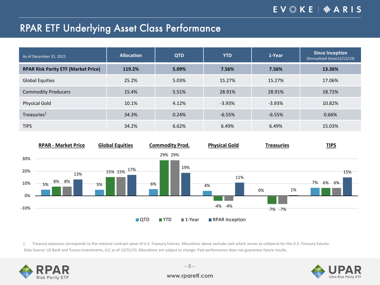### EV & KE | � A R I S

## RPAR ETF Underlying Asset Class Performance

| As of December 31, 2021                    | <b>Allocation</b> | <b>QTD</b> | <b>YTD</b> | 1-Year   | <b>Since Inception</b><br>(Annualized Since12/12/19) |
|--------------------------------------------|-------------------|------------|------------|----------|------------------------------------------------------|
| <b>RPAR Risk Parity ETF (Market Price)</b> | 119.2%            | 5.09%      | 7.56%      | 7.56%    | 13.36%                                               |
| <b>Global Equities</b>                     | 25.2%             | 5.03%      | 15.27%     | 15.27%   | 17.06%                                               |
| <b>Commodity Producers</b>                 | 15.4%             | 5.51%      | 28.91%     | 28.91%   | 18.72%                                               |
| <b>Physical Gold</b>                       | 10.1%             | 4.12%      | $-3.93%$   | $-3.93%$ | 10.82%                                               |
| Treasuries <sup>1</sup>                    | 34.3%             | 0.24%      | $-6.55%$   | $-6.55%$ | 0.66%                                                |
| <b>TIPS</b>                                | 34.2%             | 6.62%      | 6.49%      | 6.49%    | 15.03%                                               |



1. Treasury exposure corresponds to the notional contract value of U.S. Treasury futures. Allocations above exclude cash which serves as collateral for the U.S. Treasury futures. Data Source: US Bank and Toroso Investments, LLC as of 12/31/21. Allocations are subject to change. Past performance does not guarantee future results.



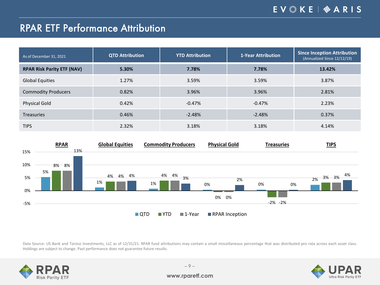# RPAR ETF Performance Attribution

| As of December 31, 2021           | <b>QTD Attribution</b> | <b>YTD Attribution</b> | 1-Year Attribution | <b>Since Inception Attribution</b><br>(Annualized Since 12/12/19) |
|-----------------------------------|------------------------|------------------------|--------------------|-------------------------------------------------------------------|
| <b>RPAR Risk Parity ETF (NAV)</b> | 5.30%                  | 7.78%                  | 7.78%              | 13.42%                                                            |
| <b>Global Equities</b>            | 1.27%                  | 3.59%                  | 3.59%              | 3.87%                                                             |
| <b>Commodity Producers</b>        | 0.82%                  | 3.96%                  | 3.96%              | 2.81%                                                             |
| <b>Physical Gold</b>              | 0.42%                  | $-0.47%$               | $-0.47%$           | 2.23%                                                             |
| <b>Treasuries</b>                 | 0.46%                  | $-2.48%$               | $-2.48%$           | 0.37%                                                             |
| <b>TIPS</b>                       | 2.32%                  | 3.18%                  | 3.18%              | 4.14%                                                             |



Data Source: US Bank and Toroso Investments, LLC as of 12/31/21. RPAR fund attributions may contain a small miscellaneous percentage that was distributed pro rata across each asset class. Holdings are subject to change. Past performance does not guarantee future results.



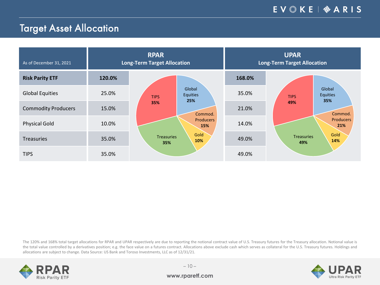# Target Asset Allocation

| As of December 31, 2021    |        | <b>RPAR</b><br><b>Long-Term Target Allocation</b> | <b>UPAR</b><br><b>Long-Term Target Allocation</b> |                                          |  |
|----------------------------|--------|---------------------------------------------------|---------------------------------------------------|------------------------------------------|--|
| <b>Risk Parity ETF</b>     | 120.0% |                                                   | 168.0%                                            |                                          |  |
| <b>Global Equities</b>     | 25.0%  | Global<br><b>Equities</b><br><b>TIPS</b>          | 35.0%                                             | Global<br>Equities<br><b>TIPS</b><br>35% |  |
| <b>Commodity Producers</b> | 15.0%  | 25%<br>35%<br>Commod.                             | 21.0%                                             | 49%<br>Commod.                           |  |
| <b>Physical Gold</b>       | 10.0%  | <b>Producers</b><br>15%                           | 14.0%                                             | <b>Producers</b><br>21%                  |  |
| <b>Treasuries</b>          | 35.0%  | Gold<br><b>Treasuries</b><br>10%<br>35%           | 49.0%                                             | Gold<br><b>Treasuries</b><br>14%<br>49%  |  |
| <b>TIPS</b>                | 35.0%  |                                                   | 49.0%                                             |                                          |  |

The 120% and 168% total target allocations for RPAR and UPAR respectively are due to reporting the notional contract value of U.S. Treasury futures for the Treasury allocation. Notional value is the total value controlled by a derivatives position; e.g. the face value on a futures contract. Allocations above exclude cash which serves as collateral for the U.S. Treasury futures. Holdings and allocations are subject to change. Data Source: US Bank and Toroso Investments, LLC as of 12/31/21.



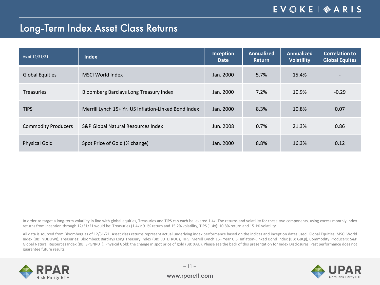### EV & KE | � A R I S

### Long-Term Index Asset Class Returns

| As of 12/31/21             | <b>Index</b>                                         | Inception<br>Date | <b>Annualized</b><br><b>Return</b> | <b>Annualized</b><br><b>Volatility</b> | <b>Correlation to</b><br><b>Global Equites</b> |
|----------------------------|------------------------------------------------------|-------------------|------------------------------------|----------------------------------------|------------------------------------------------|
| <b>Global Equities</b>     | MSCI World Index                                     | Jan. 2000         | 5.7%                               | 15.4%                                  | $\overline{\phantom{0}}$                       |
| <b>Treasuries</b>          | Bloomberg Barclays Long Treasury Index               | Jan. 2000         | 7.2%                               | 10.9%                                  | $-0.29$                                        |
| <b>TIPS</b>                | Merrill Lynch 15+ Yr. US Inflation-Linked Bond Index | Jan. 2000         | 8.3%                               | 10.8%                                  | 0.07                                           |
| <b>Commodity Producers</b> | S&P Global Natural Resources Index                   | Jun. 2008         | 0.7%                               | 21.3%                                  | 0.86                                           |
| <b>Physical Gold</b>       | Spot Price of Gold (% change)                        | Jan. 2000         | 8.8%                               | 16.3%                                  | 0.12                                           |

In order to target a long-term volatility in line with global equities, Treasuries and TIPS can each be levered 1.4x. The returns and volatility for these two components, using excess monthly index returns from inception through 12/31/21 would be: Treasuries (1.4x): 9.1% return and 15.2% volatility, TIPS (1.4x): 10.8% return and 15.1% volatility.

All data is sourced from Bloomberg as of 12/31/21. Asset class returns represent actual underlying index performance based on the indices and inception dates used. Global Equities: MSCI World Index (BB: NDDUWI), Treasuries: Bloomberg Barclays Long Treasury Index (BB: LUTLTRUU), TIPS: Merrill Lynch 15+ Year U.S. Inflation-Linked Bond Index (BB: G8QI), Commodity Producers: S&P Global Natural Resources Index (BB: SPGNRUT), Physical Gold: the change in spot price of gold (BB: XAU). Please see the back of this presentation for Index Disclosures. Past performance does not guarantee future results.



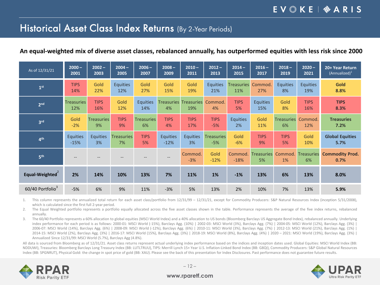### Historical Asset Class Index Returns (By 2-Year Periods)

#### An equal-weighted mix of diverse asset classes, rebalanced annually, has outperformed equities with less risk since 2000

| As of 12/31/21   | $2000 -$          | $2002 -$          | $2004 -$          | $2006 -$          | $2008 -$          | $2010 -$          | $2012 -$          | $2014 -$          | $2016 -$                | $2018 -$          | $2020 -$                | 20+ Year Return                |
|------------------|-------------------|-------------------|-------------------|-------------------|-------------------|-------------------|-------------------|-------------------|-------------------------|-------------------|-------------------------|--------------------------------|
|                  | 2001              | 2003              | 2005              | 2007              | 2009              | 2011              | 2013              | 2015              | 2017                    | 2019              | 2021                    | (Annualized) <sup>1</sup>      |
| 1 <sup>st</sup>  | <b>TIPS</b>       | Gold              | <b>Equities</b>   | Gold              | Gold              | Gold              | <b>Equities</b>   | <b>Treasuries</b> | Commod.                 | <b>Equities</b>   | <b>Equities</b>         | Gold                           |
|                  | 14%               | 22%               | 12%               | 27%               | 15%               | 19%               | 21%               | 11%               | 27%                     | 8%                | 19%                     | 8.8%                           |
| 2 <sub>nd</sub>  | <b>Treasuries</b> | <b>TIPS</b>       | Gold              | <b>Equities</b>   | <b>Treasuries</b> | <b>Treasuries</b> | Commod.           | <b>TIPS</b>       | <b>Equities</b>         | Gold              | <b>TIPS</b>             | <b>TIPS</b>                    |
|                  | 12%               | 16%               | 12%               | 14%               | 4%                | 19%               | 4%                | 5%                | 15%                     | 8%                | 16%                     | 8.3%                           |
| 3 <sup>rd</sup>  | Gold              | <b>Treasuries</b> | <b>TIPS</b>       | <b>Treasuries</b> | <b>TIPS</b>       | <b>TIPS</b>       | <b>TIPS</b>       | <b>Equities</b>   | Gold                    | <b>Treasuries</b> | Commod.                 | <b>Treasuries</b>              |
|                  | $-2%$             | 9%                | 9%                | 6%                | 4%                | 17%               | $-5%$             | 2%                | 11%                     | 6%                | 12%                     | 7.2%                           |
| 4 <sup>th</sup>  | <b>Equities</b>   | <b>Equities</b>   | <b>Treasuries</b> | <b>TIPS</b>       | <b>Equities</b>   | <b>Equities</b>   | <b>Treasuries</b> | Gold              | <b>TIPS</b>             | <b>TIPS</b>       | Gold                    | <b>Global Equities</b>         |
|                  | $-15%$            | 3%                | 7%                | 5%                | $-12%$            | 3%                | $-5%$             | $-6%$             | 9%                      | 5%                | 10%                     | 5.7%                           |
| 5 <sup>th</sup>  |                   |                   |                   |                   |                   | Commod.<br>$-3%$  | Gold<br>$-12%$    | Commod.<br>$-18%$ | <b>Treasuries</b><br>5% | Commod.<br>1%     | <b>Treasuries</b><br>6% | <b>Commodity Prod.</b><br>0.7% |
| Equal-Weighted   | 2%                | 14%               | 10%               | 13%               | 7%                | 11%               | 1%                | $-1%$             | 13%                     | 6%                | 13%                     | 8.0%                           |
| 60/40 Portfolio3 | $-5%$             | 6%                | 9%                | 11%               | $-3%$             | 5%                | 13%               | 2%                | 10%                     | 7%                | 13%                     | 5.9%                           |

1. This column represents the annualized total return for each asset class/portfolio from 12/31/99 - 12/31/21, except for Commodity Producers: S&P Natural Resources Index (inception 5/31/2008), which is calculated since the first full 2-year period.

2. The Equal Weighted portfolio represents a portfolio equally allocated across the five asset classes shown in the table. Performance represents the average of the five index returns, rebalanced annually.

3. The 60/40 Portfolio represents a 60% allocation to global equities (MSCI World Index) and a 40% allocation to US bonds (Bloomberg Barclays US Aggregate Bond Index), rebalanced annually. Underlying index performance for each period is as follows: 2000-01: MSCI World (-15%), Barclays Agg. (10%) | 2002-03: MSCI World (3%), Barclays Agg. (7%) | 2004-05: MSCI World (12%), Barclays Agg. (3%) | 2006-07: MSCI World (14%), Barclays Agg. (6%) | 2008-09: MSCI World (-12%), Barclays Agg. (6%) | 2010-11: MSCI World (3%), Barclays Agg. (7%) | 2012-13: MSCI World (21%), Barclays Agg. (1%) | 2014-15: MSCI World (2%), Barclays Agg. (3%) | 2016-17: MSCI World (15%), Barclays Agg. (3%) | 2018-19: MSCI World (8%), Barclays Agg. (4%) | 2020 – 2021: MSCI World (19%), Barclays Agg. (3%) | Annualized Since 12/31/99: MSCI World (5.7%), Barclays Agg (4.8%).

All data is sourced from Bloomberg as of 12/31/21. Asset class returns represent actual underlying index performance based on the indices and inception dates used. Global Equities: MSCI World Index (BB: NDDUWI), Treasuries: Bloomberg Barclays Long Treasury Index (BB: LUTLTRUU), TIPS: Merrill Lynch 15+ Year U.S. Inflation-Linked Bond Index (BB: G8QI), Commodity Producers: S&P Global Natural Resources Index (BB: SPGNRUT), Physical Gold: the change in spot price of gold (BB: XAU). Please see the back of this presentation for Index Disclosures. Past performance does not guarantee future results.



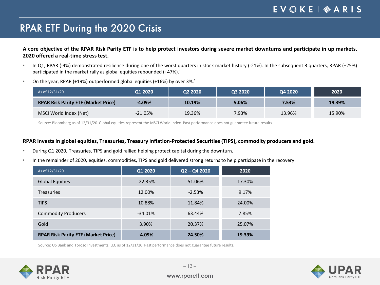### EV & KE | � A R I S

# RPAR ETF During the 2020 Crisis

A core objective of the RPAR Risk Parity ETF is to help protect investors during severe market downturns and participate in up markets. **2020 offered a real-time stress test.**

- In Q1, RPAR (-4%) demonstrated resilience during one of the worst quarters in stock market history (-21%). In the subsequent 3 quarters, RPAR (+25%) participated in the market rally as global equities rebounded (+47%).<sup>1</sup>
- On the year, RPAR (+19%) outperformed global equities (+16%) by over  $3\%$ .<sup>1</sup>

| As of 12/31/20                             | Q1 2020    | Q2 2020 | Q3 2020 | Q4 2020 | 2020   |
|--------------------------------------------|------------|---------|---------|---------|--------|
| <b>RPAR Risk Parity ETF (Market Price)</b> | $-4.09\%$  | 10.19%  | 5.06%   | 7.53%   | 19.39% |
| MSCI World Index (Net)                     | $-21.05\%$ | 19.36%  | 7.93%   | 13.96%  | 15.90% |

Source: Bloomberg as of 12/31/20. Global equities represent the MSCI World Index. Past performance does not guarantee future results.

#### **RPAR invests in global equities, Treasuries, Treasury Inflation-Protected Securities (TIPS), commodity producers and gold.**

- During Q1 2020, Treasuries, TIPS and gold rallied helping protect capital during the downturn.
- In the remainder of 2020, equities, commodities, TIPS and gold delivered strong returns to help participate in the recovery.

| As of 12/31/20                             | Q1 2020   | $Q2 - Q4 2020$ | 2020   |
|--------------------------------------------|-----------|----------------|--------|
| <b>Global Equities</b>                     | $-22.35%$ | 51.06%         | 17.30% |
| <b>Treasuries</b>                          | 12.00%    | $-2.53%$       | 9.17%  |
| <b>TIPS</b>                                | 10.88%    | 11.84%         | 24.00% |
| <b>Commodity Producers</b>                 | $-34.01%$ | 63.44%         | 7.85%  |
| Gold                                       | 3.90%     | 20.37%         | 25.07% |
| <b>RPAR Risk Parity ETF (Market Price)</b> | $-4.09%$  | 24.50%         | 19.39% |

Source: US Bank and Toroso Investments, LLC as of 12/31/20. Past performance does not guarantee future results.



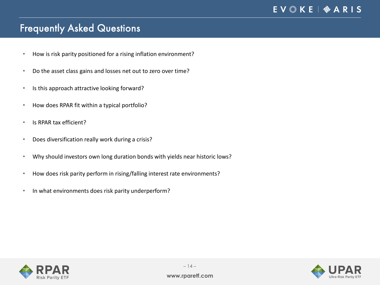# Frequently Asked Questions

- How is risk parity positioned for a rising inflation environment?
- Do the asset class gains and losses net out to zero over time?
- Is this approach attractive looking forward?
- How does RPAR fit within a typical portfolio?
- Is RPAR tax efficient?
- Does diversification really work during a crisis?
- Why should investors own long duration bonds with yields near historic lows?
- How does risk parity perform in rising/falling interest rate environments?
- In what environments does risk parity underperform?



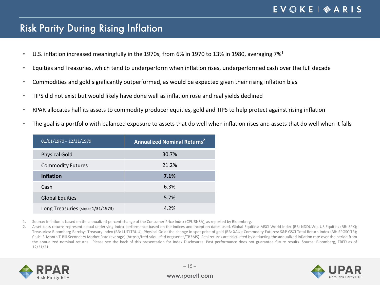### Risk Parity During Rising Inflation

- $\cdot$  U.S. inflation increased meaningfully in the 1970s, from 6% in 1970 to 13% in 1980, averaging 7%<sup>1</sup>
- Equities and Treasuries, which tend to underperform when inflation rises, underperformed cash over the full decade
- Commodities and gold significantly outperformed, as would be expected given their rising inflation bias
- TIPS did not exist but would likely have done well as inflation rose and real yields declined
- RPAR allocates half its assets to commodity producer equities, gold and TIPS to help protect against rising inflation
- The goal is a portfolio with balanced exposure to assets that do well when inflation rises and assets that do well when it falls

| $01/01/1970 - 12/31/1979$         | Annualized Nominal Returns <sup>2</sup> |
|-----------------------------------|-----------------------------------------|
| <b>Physical Gold</b>              | 30.7%                                   |
| <b>Commodity Futures</b>          | 21.2%                                   |
| <b>Inflation</b>                  | 7.1%                                    |
| Cash                              | 6.3%                                    |
| <b>Global Equities</b>            | 5.7%                                    |
| Long Treasuries (since 1/31/1973) | 4 2%                                    |

1. Source: Inflation is based on the annualized percent change of the Consumer Price Index (CPURNSA), as reported by Bloomberg.

2. Asset class returns represent actual underlying index performance based on the indices and inception dates used. Global Equities: MSCI World Index (BB: NDDUWI), US Equities (BB: SPX); Treasuries: Bloomberg Barclays Treasury Index (BB: LUTLTRUU), Physical Gold: the change in spot price of gold (BB: XAU); Commodity Futures: S&P GSCI Total Return Index (BB: SPGSCITR); Cash: 3-Month T-Bill Secondary Market Rate (average) (https://fred.stlouisfed.org/series/TB3MS). Real returns are calculated by deducting the annualized inflation rate over the period from the annualized nominal returns. Please see the back of this presentation for Index Disclosures. Past performance does not guarantee future results. Source: Bloomberg, FRED as of 12/31/21.



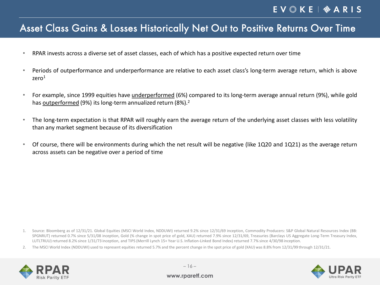### Asset Class Gains & Losses Historically Net Out to Positive Returns Over Time

- RPAR invests across a diverse set of asset classes, each of which has a positive expected return over time
- Periods of outperformance and underperformance are relative to each asset class's long-term average return, which is above zero<sup>1</sup>
- For example, since 1999 equities have underperformed (6%) compared to its long-term average annual return (9%), while gold has **outperformed** (9%) its long-term annualized return (8%).<sup>2</sup>
- The long-term expectation is that RPAR will roughly earn the average return of the underlying asset classes with less volatility than any market segment because of its diversification
- Of course, there will be environments during which the net result will be negative (like 1Q20 and 1Q21) as the average return across assets can be negative over a period of time

2. The MSCI World Index (NDDUWI) used to represent equities returned 5.7% and the percent change in the spot price of gold (XAU) was 8.8% from 12/31/99 through 12/31/21.





<sup>1.</sup> Source: Bloomberg as of 12/31/21. Global Equities (MSCI World Index, NDDUWI) returned 9.2% since 12/31/69 inception, Commodity Producers: S&P Global Natural Resources Index (BB: SPGNRUT) returned 0.7% since 5/31/08 inception, Gold (% change in spot price of gold, XAU) returned 7.9% since 12/31/69, Treasuries (Barclays US Aggregate Long-Term Treasury Index, LUTLTRUU) returned 8.2% since 1/31/73 inception, and TIPS (Merrill Lynch 15+ Year U.S. Inflation-Linked Bond Index) returned 7.7% since 4/30/98 inception.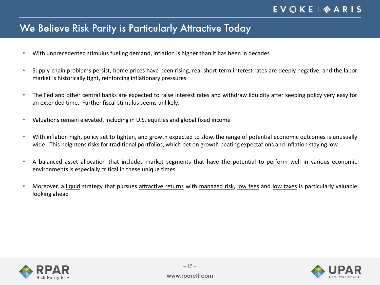## We Believe Risk Parity is Particularly Attractive Today

- With unprecedented stimulus fueling demand, inflation is higher than it has been in decades
- Supply-chain problems persist, home prices have been rising, real short-term interest rates are deeply negative, and the labor market is historically tight, reinforcing inflationary pressures
- The Fed and other central banks are expected to raise interest rates and withdraw liquidity after keeping policy very easy for an extended time. Further fiscal stimulus seems unlikely.
- Valuations remain elevated, including in U.S. equities and global fixed income
- With inflation high, policy set to tighten, and growth expected to slow, the range of potential economic outcomes is unusually wide. This heightens risks for traditional portfolios, which bet on growth beating expectations and inflation staying low.
- A balanced asset allocation that includes market segments that have the potential to perform well in various economic environments is especially critical in these unique times
- Moreover, a liquid strategy that pursues attractive returns with managed risk, low fees and low taxes is particularly valuable looking ahead





– 17 –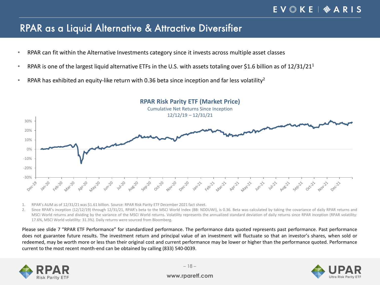### RPAR as a Liquid Alternative & Attractive Diversifier

- RPAR can fit within the Alternative Investments category since it invests across multiple asset classes
- RPAR is one of the largest liquid alternative ETFs in the U.S. with assets totaling over \$1.6 billion as of  $12/31/21<sup>1</sup>$
- RPAR has exhibited an equity-like return with 0.36 beta since inception and far less volatility<sup>2</sup>



- 1. RPAR's AUM as of 12/31/21 was \$1.61 billion. Source: RPAR Risk Parity ETF December 2021 fact sheet.
- 2. Since RPAR's inception (12/12/19) through 12/31/21, RPAR's beta to the MSCI World Index (BB: NDDUWI), is 0.36. Beta was calculated by taking the covariance of daily RPAR returns and MSCI World returns and dividing by the variance of the MSCI World returns. Volatility represents the annualized standard deviation of daily returns since RPAR inception (RPAR volatility: 17.6%, MSCI World volatility: 31.3%). Daily returns were sourced from Bloomberg.

Please see slide 7 "RPAR ETF Performance" for standardized performance. The performance data quoted represents past performance. Past performance does not guarantee future results. The investment return and principal value of an investment will fluctuate so that an investor's shares, when sold or redeemed, may be worth more or less than their original cost and current performance may be lower or higher than the performance quoted. Performance current to the most recent month-end can be obtained by calling (833) 540-0039.



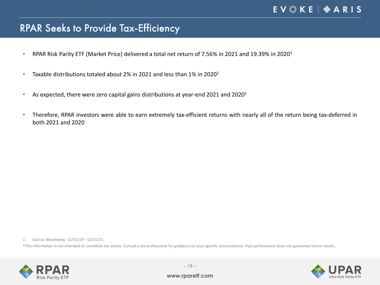### RPAR Seeks to Provide Tax-Efficiency

- RPAR Risk Parity ETF (Market Price) delivered a total net return of 7.56% in 2021 and 19.39% in 20201
- Taxable distributions totaled about 2% in 2021 and less than 1% in 2020<sup>1</sup>
- As expected, there were zero capital gains distributions at year-end 2021 and 2020<sup>1</sup>
- Therefore, RPAR investors were able to earn extremely tax-efficient returns with nearly all of the return being tax-deferred in both 2021 and 2020

1. Source: Bloomberg, 12/31/19 – 12/31/21.

\*This information is not intended to constitute tax advice. Consult a tax professional for guidance on your specific circumstances. Past performance does not guarantee future results.



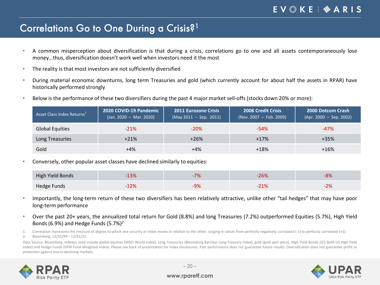### Correlations Go to One During a Crisis?1

- A common misperception about diversification is that during a crisis, correlations go to one and all assets contemporaneously lose money…thus, diversification doesn't work well when investors need it the most
- The reality is that most investors are not sufficiently diversified
- During material economic downturns, long term Treasuries and gold (which currently account for about half the assets in RPAR) have historically performed strongly
- Below is the performance of these two diversifiers during the past 4 major market sell-offs (stocks down 20% or more):

| Asset Class Index Returns <sup>2</sup> | 2020 COVID-19 Pandemic<br>$(Jan. 2020 - Mar. 2020)$ | <b>2011 Eurozone Crisis</b><br>$(May 2011 - Sep. 2011)$ | <b>2008 Credit Crisis</b><br>$(Nov. 2007 - Feb. 2009)$ | <b>2000 Dotcom Crash</b><br>$(Apr. 2000 - Sep. 2002)$ |
|----------------------------------------|-----------------------------------------------------|---------------------------------------------------------|--------------------------------------------------------|-------------------------------------------------------|
| <b>Global Equities</b>                 | $-21%$                                              | $-20%$                                                  | $-54%$                                                 | $-47%$                                                |
| Long Treasuries                        | $+21%$                                              | $+26%$                                                  | $+17%$                                                 | $+35%$                                                |
| Gold                                   | $+4%$                                               | $+4%$                                                   | $+18%$                                                 | $+16%$                                                |

• Conversely, other popular asset classes have declined similarly to equities:

| High Yield Bonds | $\sim$<br>LJ 70    |    | יטה ב<br>ZD70   | O 76          |
|------------------|--------------------|----|-----------------|---------------|
| Hedge Funds      | $\n 20\n$<br>⊥∠ /∪ | റം | גם 1-<br>2 T 70 | $\mathcal{D}$ |

- Importantly, the long-term return of these two diversifiers has been relatively attractive, unlike other "tail hedges" that may have poor long-term performance
- Over the past 20+ years, the annualized total return for Gold (8.8%) and long Treasuries (7.2%) outperformed Equities (5.7%), High Yield Bonds (6.9%) and Hedge Funds (5.7%)2

1. Correlation represents the measure of degree to which one security or index moves in relation to the other, ranging in values from perfectly negatively correlated (-1) to perfectly correlated (+1).

2. Bloomberg, 12/31/99 – 12/31/21.

Data Source: Bloomberg. Indexes used include global equities (MSCI World Index), Long Treasuries (Bloomberg Barclays Long Treasury Index), gold (gold spot price), High Yield Bonds (ICE BofA US High Yield Index) and Hedge Funds (HFRI Fund-Weighted Index). Please see back of presentation for Index Disclosures. Past performance does not guarantee future results. Diversification does not guarantee profit or protection against loss in declining markets.



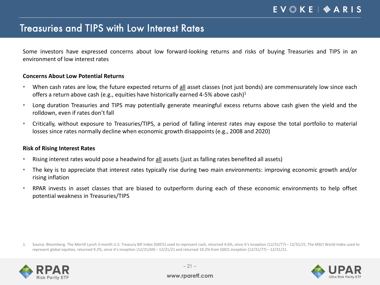### Treasuries and TIPS with Low Interest Rates

Some investors have expressed concerns about low forward-looking returns and risks of buying Treasuries and TIPS in an environment of low interest rates

#### **Concerns About Low Potential Returns**

- When cash rates are low, the future expected returns of all asset classes (not just bonds) are commensurately low since each offers a return above cash (e.g., equities have historically earned 4-5% above cash)<sup>1</sup>
- Long duration Treasuries and TIPS may potentially generate meaningful excess returns above cash given the yield and the rolldown, even if rates don't fall
- Critically, without exposure to Treasuries/TIPS, a period of falling interest rates may expose the total portfolio to material losses since rates normally decline when economic growth disappoints (e.g., 2008 and 2020)

#### **Risk of Rising Interest Rates**

- Rising interest rates would pose a headwind for all assets (just as falling rates benefited all assets)
- The key is to appreciate that interest rates typically rise during two main environments: improving economic growth and/or rising inflation
- RPAR invests in asset classes that are biased to outperform during each of these economic environments to help offset potential weakness in Treasuries/TIPS

1. Source: Bloomberg. The Merrill Lynch 3-month U.S. Treasury Bill Index (G0O1) used to represent cash, returned 4.6%, since it's inception (12/31/77) – 12/31/21. The MSCI World Index used to represent global equities, returned 9.2%, since it's inception (12/31/69) – 12/31/21 and returned 10.2% from G0O1 inception (12/31/77) – 12/31/21.



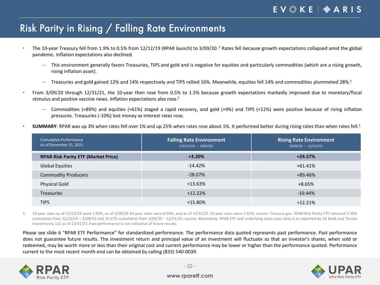# Risk Parity in Rising / Falling Rate Environments

- The 10-year Treasury fell from 1.9% to 0.5% from 12/12/19 (RPAR launch) to 3/09/20. <sup>1</sup> Rates fell because growth expectations collapsed amid the global pandemic. Inflation expectations also declined.
	- ― This environment generally favors Treasuries, TIPS and gold and is negative for equities and particularly commodities (which are a rising growth, rising inflation asset).
	- ― Treasuries and gold gained 12% and 14% respectively and TIPS rallied 16%. Meanwhile, equities fell 14% and commodities plummeted 28%. 1
- From 3/09/20 through 12/31/21, the 10-year then rose from 0.5% to 1.5% because growth expectations markedly improved due to monetary/fiscal stimulus and positive vaccine news. Inflation expectations also rose. 1
	- ― Commodities (+89%) and equities (+61%) staged a rapid recovery, and gold (+9%) and TIPS (+12%) were positive because of rising inflation pressures. Treasuries (-10%) lost money as interest rates rose.
- SUMMARY: RPAR was up 3% when rates fell over 1% and up 25% when rates rose about 1%. It performed better during rising rates than when rates fell.<sup>1</sup>

| Cumulative Performance<br>As of December 31, 2021 | <b>Falling Rate Environment</b><br>$(12/12/19 - 3/09/20)$ | <b>Rising Rate Environment</b><br>$(3/09/20 - 12/31/21)$ |
|---------------------------------------------------|-----------------------------------------------------------|----------------------------------------------------------|
| <b>RPAR Risk Parity ETF (Market Price)</b>        | $+3.20%$                                                  | $+24.57%$                                                |
| <b>Global Equities</b>                            | $-14.42%$                                                 | +61.41%                                                  |
| <b>Commodity Producers</b>                        | $-28.07%$                                                 | +89.46%                                                  |
| <b>Physical Gold</b>                              | $+13.63%$                                                 | +8.65%                                                   |
| <b>Treasuries</b>                                 | $+12.22%$                                                 | $-10.44%$                                                |
| <b>TIPS</b>                                       | $+15.80\%$                                                | $+12.21%$                                                |

1. 10-year rates as of 12/12/19 were 1.90%, as of 3/09/20 10-year rates were 0.54%, and as of 12/31/21 10-year rates were 1.52%; source: Treasury.gov. RPAR Risk Parity ETF returned 3.20% cumulative from 12/12/19 - 3/09/20 and 24.57% cumulative from 3/09/20 - 12/31/21; source: Bloomberg. RPAR ETF and underlying asset class data is as reported by US Bank and Toroso Investments, LLC as of 12/31/21. Past performance is not indicative of future results.

Please see slide 6 "RPAR ETF Performance" for standardized performance. The performance data quoted represents past performance. Past performance does not guarantee future results. The investment return and principal value of an investment will fluctuate so that an investor's shares, when sold or redeemed, may be worth more or less than their original cost and current performance may be lower or higher than the performance quoted. Performance current to the most recent month-end can be obtained by calling (833) 540-0039.



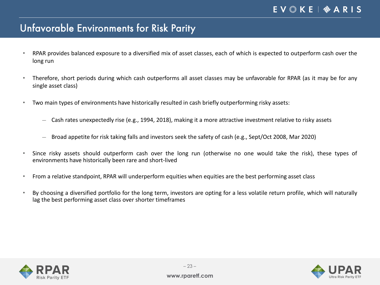# Unfavorable Environments for Risk Parity

- RPAR provides balanced exposure to a diversified mix of asset classes, each of which is expected to outperform cash over the long run
- Therefore, short periods during which cash outperforms all asset classes may be unfavorable for RPAR (as it may be for any single asset class)
- Two main types of environments have historically resulted in cash briefly outperforming risky assets:
	- ― Cash rates unexpectedly rise (e.g., 1994, 2018), making it a more attractive investment relative to risky assets
	- ― Broad appetite for risk taking falls and investors seek the safety of cash (e.g., Sept/Oct 2008, Mar 2020)
- Since risky assets should outperform cash over the long run (otherwise no one would take the risk), these types of environments have historically been rare and short-lived
- From a relative standpoint, RPAR will underperform equities when equities are the best performing asset class
- By choosing a diversified portfolio for the long term, investors are opting for a less volatile return profile, which will naturally lag the best performing asset class over shorter timeframes





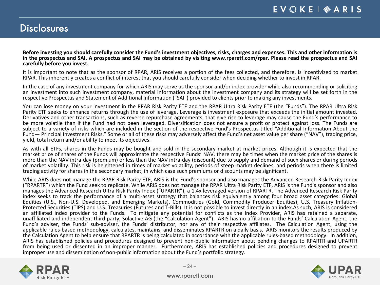### **Disclosures**

Before investing you should carefully consider the Fund's investment objectives, risks, charges and expenses. This and other information is in the prospectus and SAI. A prospectus and SAI may be obtained by visiting www.rparetf.com/rpar. Please read the prospectus and SAI **carefully before you invest.**

It is important to note that as the sponsor of RPAR, ARIS receives a portion of the fees collected, and therefore, is incentivized to market RPAR. This inherently creates a conflict of interest that you should carefully consider when deciding whether to invest in RPAR.

In the case of any investment company for which ARIS may serve as the sponsor and/or index provider while also recommending or soliciting an investment into such investment company, material information about the investment company and its strategy will be set forth in the respective Prospectus and Statement of Additional Information ("SAI") provided to clients prior to making any investments.

You can lose money on your investment in the RPAR Risk Parity ETF and the RPAR Ultra Risk Parity ETF (the "Funds"). The RPAR Ultra Risk<br>Parity ETF seeks to enhance returns through the use of leverage. Leverage is investmen Derivatives and other transactions, such as reverse repurchase agreements, that give rise to leverage may cause the Fund's performance to be more volatile than if the Fund had not been leveraged. Diversification does not ensure a profit or protect against loss. The Funds are subject to a variety of risks which are included in the section of the respective Fund's Prospectus titled "Additional Information About the Fund— Principal Investment Risks." Some or all of these risks may adversely affect the Fund's net asset value per share ("NAV"), trading price, yield, total return and/or ability to meet its objectives.

As with all ETFs, shares in the Funds may be bought and sold in the secondary market at market prices. Although it is expected that the market price of shares of the Funds will approximate the respective Funds' NAV, there may be times when the market price of the shares is more than the NAV intra-day (premium) or less than the NAV intra-day (discount) due to supply and demand of such shares or during periods of market volatility. This risk is heightened in times of market volatility, periods of steep market declines, and periods when there is limited trading activity for shares in the secondary market, in which case such premiums or discounts may be significant.

While ARIS does not manage the RPAR Risk Parity ETF, ARIS is the Fund's sponsor and also manages the Advanced Research Risk Parity Index ("RPARTR") which the Fund seek to replicate. While ARIS does not manage the RPAR Ultra Risk Parity ETF, ARIS is the Fund's sponsor and also manages the Advanced Research Ultra Risk Parity Index ("UPARTR"), a 1.4x leveraged version of RPARTR. The Advanced Research Risk Parity index seeks to track the performance of a multi-asset strategy that balances risk equivalently among four broad asset categories: Global<br>Equities (U.S., Non-U.S. Developed, and Emerging Markets), Commodities (Gold, Commodi Protected Securities (TIPS) and U.S. Treasuries (Futures and T-Bills). It is not possible to invest directly in an index.As such, ARIS is considered an affiliated index provider to the Funds. To mitigate any potential for conflicts as the Index Provider, ARIS has retained a separate, unaffiliated and independent third party, Solactive AG (the "Calculation Agent"). ARIS has no affiliation to the Funds' Calculation Agent, the Fund's adviser, the Funds' sub-adviser, the Funds' distributor, nor any of their respective affiliates. The Calculation Agent, using the applicable rules-based methodology, calculates, maintains, and disseminates RPARTR on a daily basis. ARIS monitors the results produced by the Calculation Agent to help ensure that RPARTR is being calculated in accordance with the applicable rules-based methodology. In addition, ARIS has established policies and procedures designed to prevent non-public information about pending changes to RPARTR and UPARTR from being used or dissented in an improper manner. Furthermore, ARIS has established policies and procedures designed to prevent improper use and dissemination of non-public information about the Fund's portfolio strategy.



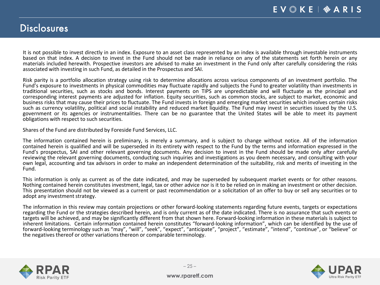### **Disclosures**

It is not possible to invest directly in an index. Exposure to an asset class represented by an index is available through investable instruments based on that index. A decision to invest in the Fund should not be made in reliance on any of the statements set forth herein or any materials included herewith. Prospective investors are advised to make an investment in the Fund only after carefully considering the risks associated with investing in such Fund, as detailed in the Prospectus and SAI.

Risk parity is a portfolio allocation strategy using risk to determine allocations across various components of an investment portfolio. The Fund's exposure to investments in physical commodities may fluctuate rapidly and subjects the Fund to greater volatility than investments in traditional securities, such as stocks and bonds. Interest payments on TIPS are unpredictable and will fluctuate as the principal and corresponding interest payments are adjusted for inflation. Equity securities, such as common stocks, are subject to market, economic and business risks that may cause their prices to fluctuate. The Fund invests in foreign and emerging market securities which involves certain risks bushed in securities which involves certain risks such as currency volatility government or its agencies or instrumentalities. There can be no guarantee that the United States will be able to meet its payment obligations with respect to such securities.

Shares of the Fund are distributed by Foreside Fund Services, LLC.

The information contained herein is preliminary, is merely a summary, and is subject to change without notice. All of the information contained herein is qualified and will be superseded in its entirety with respect to the Fund by the terms and information expressed in the Fund's prospectus, SAI and other relevant governing documents. Any decision to invest in the Fund should be made only after carefully reviewing the relevant governing documents, conducting such inquiries and investigations as you deem necessary, and consulting with your own legal, accounting and tax advisors in order to make an independent determination of the suitability, risk and merits of investing in the Fund.

This information is only as current as of the date indicated, and may be superseded by subsequent market events or for other reasons.<br>Nothing contained herein constitutes investment, legal, tax or other advice nor is it to adopt any investment strategy.

The information in this review may contain projections or other forward-looking statements regarding future events, targets or expectations regarding the Fund or the strategies described herein, and is only current as of the date indicated. There is no assurance that such events or targets will be achieved, and may be significantly different from that shown here. Forward-looking information in these materials is subject to inherent limitations. Certain information contained herein constitutes "forward-looking information", which can be identified by the use of forward-looking terminology such as "may", "will", "seek", "expect", "anticipate", "project", "estimate", "intend", "continue", or "believe" or the negatives thereof or other variations thereon or comparable terminology.



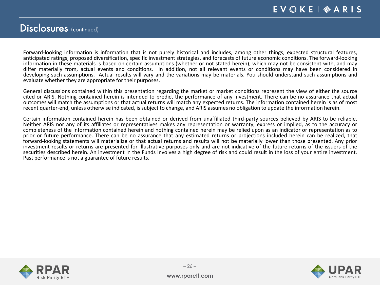### Disclosures (continued)

Forward-looking information is information that is not purely historical and includes, among other things, expected structural features, anticipated ratings, proposed diversification, specific investment strategies, and forecasts of future economic conditions. The forward-looking information in these materials is based on certain assumptions (whether or not stated herein), which may not be consistent with, and may differ materially from, actual events and conditions. In addition, not all relevant events or conditions may have been considered in developing such assumptions. Actual results will vary and the variations may be materials. You should understand such assumptions and evaluate whether they are appropriate for their purposes.

General discussions contained within this presentation regarding the market or market conditions represent the view of either the source cited or ARIS. Nothing contained herein is intended to predict the performance of any investment. There can be no assurance that actual outcomes will match the assumptions or that actual returns will match any expected returns. The information contained herein is as of most recent quarter-end, unless otherwise indicated, is subject to change, and ARIS assumes no obligation to update the information herein.

Certain information contained herein has been obtained or derived from unaffiliated third-party sources believed by ARIS to be reliable.<br>Neither ARIS nor any of its affiliates or representatives makes any representation or completeness of the information contained herein and nothing contained herein may be relied upon as an indicator or representation as to prior or future performance. There can be no assurance that any estimated returns or projections included herein can be realized, that forward-looking statements will materialize or that actual returns and results will not be materially lower than those presented. Any prior investment results or returns are presented for illustrative purposes only and are not indicative of the future returns of the issuers of the securities described herein. An investment in the Funds involves a high degree of risk and could result in the loss of your entire investment.<br>Past performance is not a guarantee of future results.